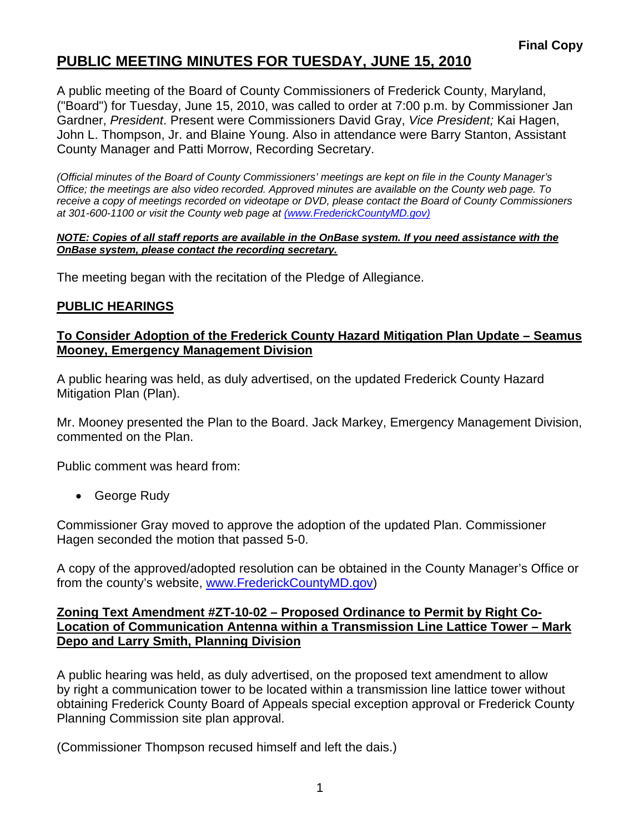# **PUBLIC MEETING MINUTES FOR TUESDAY, JUNE 15, 2010**

A public meeting of the Board of County Commissioners of Frederick County, Maryland, ("Board") for Tuesday, June 15, 2010, was called to order at 7:00 p.m. by Commissioner Jan Gardner, *President*. Present were Commissioners David Gray, *Vice President;* Kai Hagen, John L. Thompson, Jr. and Blaine Young. Also in attendance were Barry Stanton, Assistant County Manager and Patti Morrow, Recording Secretary.

*(Official minutes of the Board of County Commissioners' meetings are kept on file in the County Manager's Office; the meetings are also video recorded. Approved minutes are available on the County web page. To receive a copy of meetings recorded on videotape or DVD, please contact the Board of County Commissioners at 301-600-1100 or visit the County web page at (www.FrederickCountyMD.gov)*

#### *NOTE: Copies of all staff reports are available in the OnBase system. If you need assistance with the OnBase system, please contact the recording secretary.*

The meeting began with the recitation of the Pledge of Allegiance.

# **PUBLIC HEARINGS**

### **To Consider Adoption of the Frederick County Hazard Mitigation Plan Update – Seamus Mooney, Emergency Management Division**

A public hearing was held, as duly advertised, on the updated Frederick County Hazard Mitigation Plan (Plan).

Mr. Mooney presented the Plan to the Board. Jack Markey, Emergency Management Division, commented on the Plan.

Public comment was heard from:

• George Rudy

Commissioner Gray moved to approve the adoption of the updated Plan. Commissioner Hagen seconded the motion that passed 5-0.

A copy of the approved/adopted resolution can be obtained in the County Manager's Office or from the county's website, [www.FrederickCountyMD.gov\)](http://www.frederickcountymd.gov/)

### **Zoning Text Amendment #ZT-10-02 – Proposed Ordinance to Permit by Right Co-Location of Communication Antenna within a Transmission Line Lattice Tower – Mark Depo and Larry Smith, Planning Division**

A public hearing was held, as duly advertised, on the proposed text amendment to allow by right a communication tower to be located within a transmission line lattice tower without obtaining Frederick County Board of Appeals special exception approval or Frederick County Planning Commission site plan approval.

(Commissioner Thompson recused himself and left the dais.)